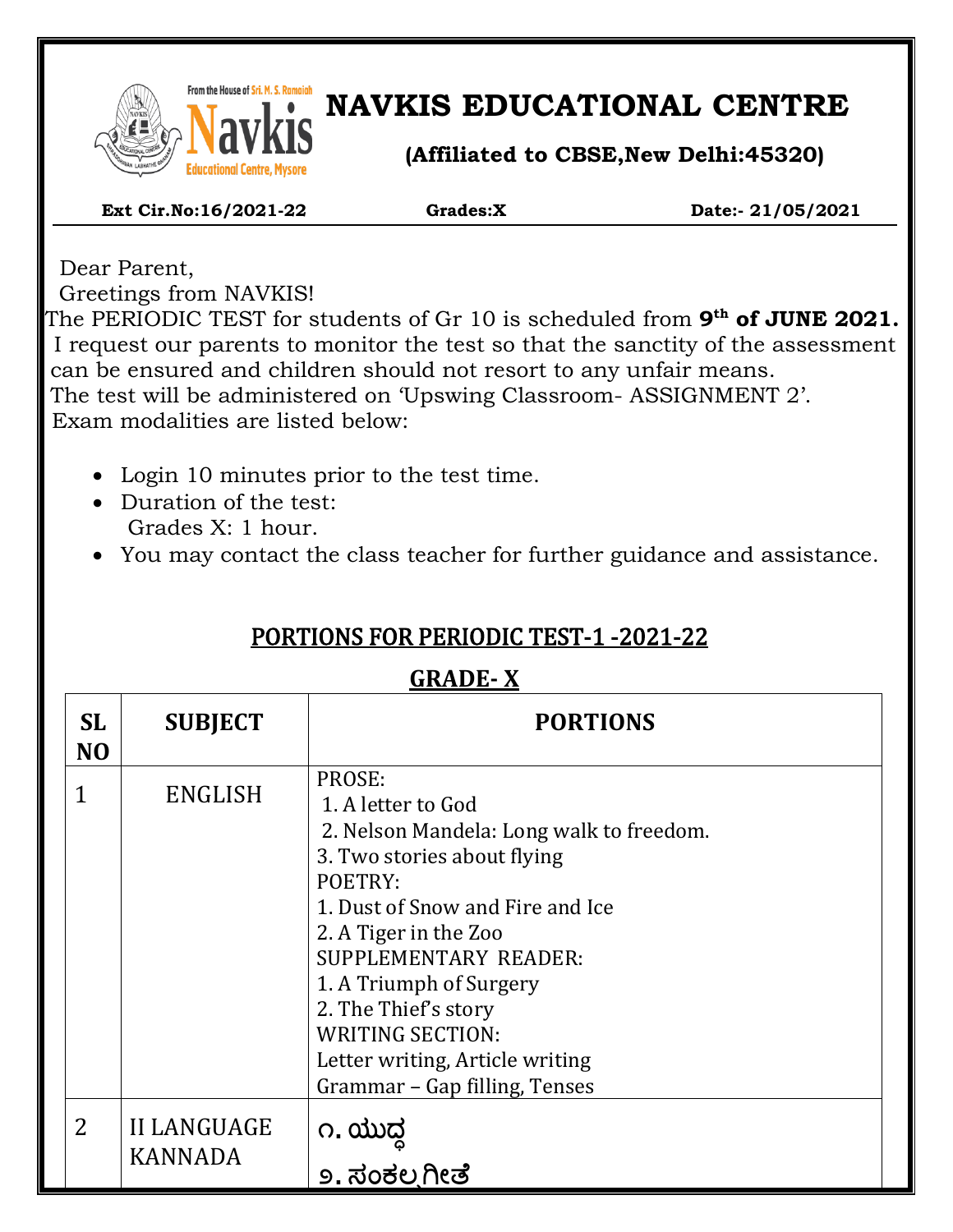

# **NAVKIS EDUCATIONAL CENTRE**

**(Affiliated to CBSE,New Delhi:45320)**

#### **Ext Cir.No:16/2021-22 Grades:X Date:- 21/05/2021**

Dear Parent, Greetings from NAVKIS!

The PERIODIC TEST for students of Gr 10 is scheduled from **9<sup>th</sup> of JUNE 2021.** I request our parents to monitor the test so that the sanctity of the assessment can be ensured and children should not resort to any unfair means. The test will be administered on 'Upswing Classroom- ASSIGNMENT 2'. Exam modalities are listed below:

- Login 10 minutes prior to the test time.
- Duration of the test: Grades X: 1 hour.
- You may contact the class teacher for further guidance and assistance.

## PORTIONS FOR PERIODIC TEST-1 -2021-22

#### **GRADE- X**

| <b>SL</b><br>N <sub>O</sub> | <b>SUBJECT</b>                | <b>PORTIONS</b>                                                                                                                                                                                                                                                                                                                                            |
|-----------------------------|-------------------------------|------------------------------------------------------------------------------------------------------------------------------------------------------------------------------------------------------------------------------------------------------------------------------------------------------------------------------------------------------------|
| 1                           | <b>ENGLISH</b>                | PROSE:<br>1. A letter to God<br>2. Nelson Mandela: Long walk to freedom.<br>3. Two stories about flying<br>POETRY:<br>1. Dust of Snow and Fire and Ice<br>2. A Tiger in the Zoo<br>SUPPLEMENTARY READER:<br>1. A Triumph of Surgery<br>2. The Thief's story<br><b>WRITING SECTION:</b><br>Letter writing, Article writing<br>Grammar - Gap filling, Tenses |
| $\overline{2}$              | <b>II LANGUAGE</b><br>KANNADA | ೧. ಯುದ್ಧ<br><u>೨. ಸಂಕಲ್ಪಗೀತೆ</u>                                                                                                                                                                                                                                                                                                                           |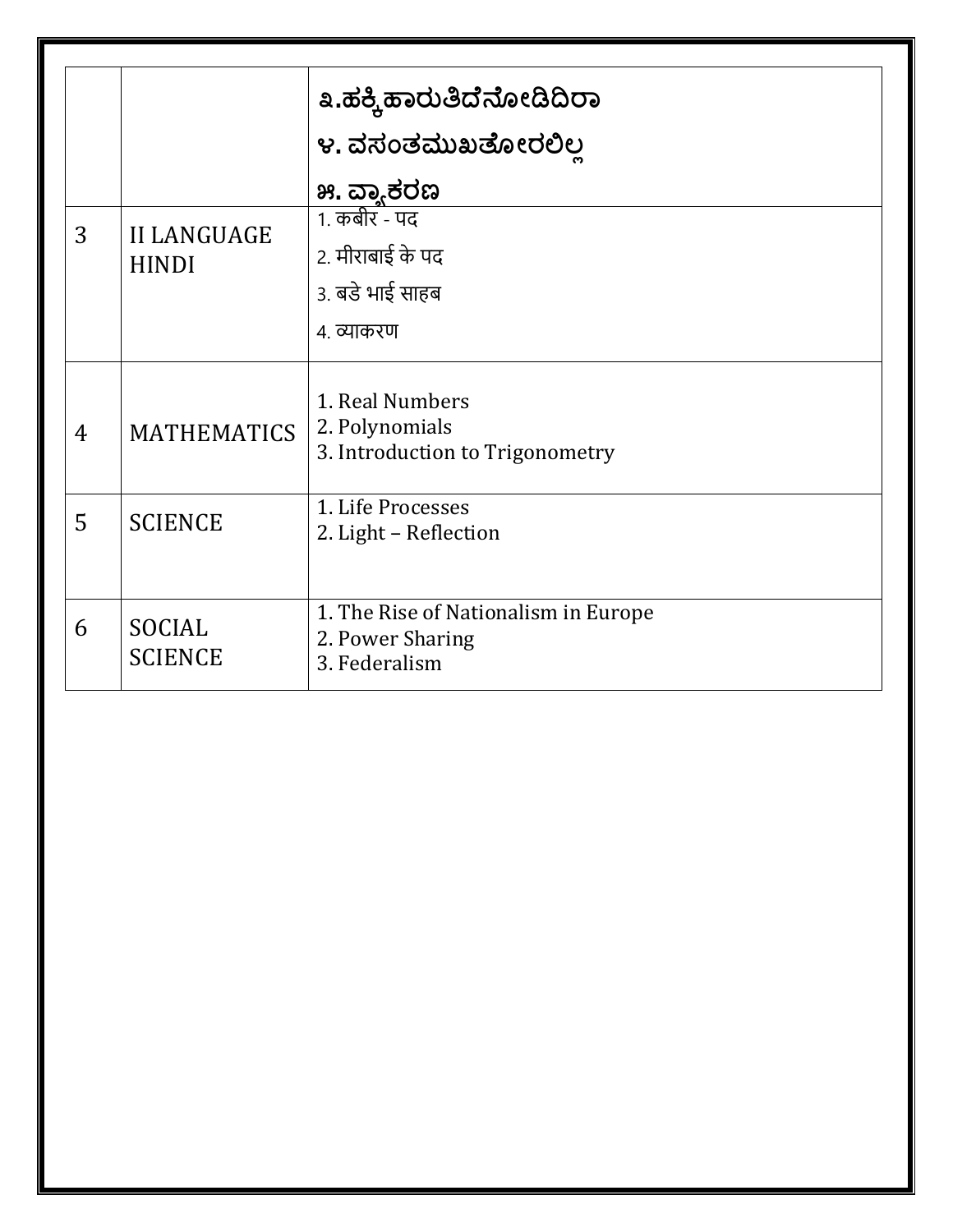|                |                                    | ೩.ಹಕ್ಕಿ ಹಾರುತಿದೆನೋಡಿದಿರಾ                                                  |  |  |
|----------------|------------------------------------|---------------------------------------------------------------------------|--|--|
|                |                                    | ೪. ವಸಂತಮುಖತೋರಲಿಲ                                                          |  |  |
|                |                                    | ೫. ವ್ಯಾಕರಣ                                                                |  |  |
| 3              | <b>II LANGUAGE</b><br><b>HINDI</b> | 1. कबीर - पद                                                              |  |  |
|                |                                    | 2. मीराबाई के पद                                                          |  |  |
|                |                                    | 3. बडे भाई साहब                                                           |  |  |
|                |                                    | ४. व्याकरण                                                                |  |  |
| $\overline{4}$ | <b>MATHEMATICS</b>                 | 1. Real Numbers<br>2. Polynomials<br>3. Introduction to Trigonometry      |  |  |
| 5              | <b>SCIENCE</b>                     | 1. Life Processes<br>2. Light - Reflection                                |  |  |
| 6              | <b>SOCIAL</b><br><b>SCIENCE</b>    | 1. The Rise of Nationalism in Europe<br>2. Power Sharing<br>3. Federalism |  |  |